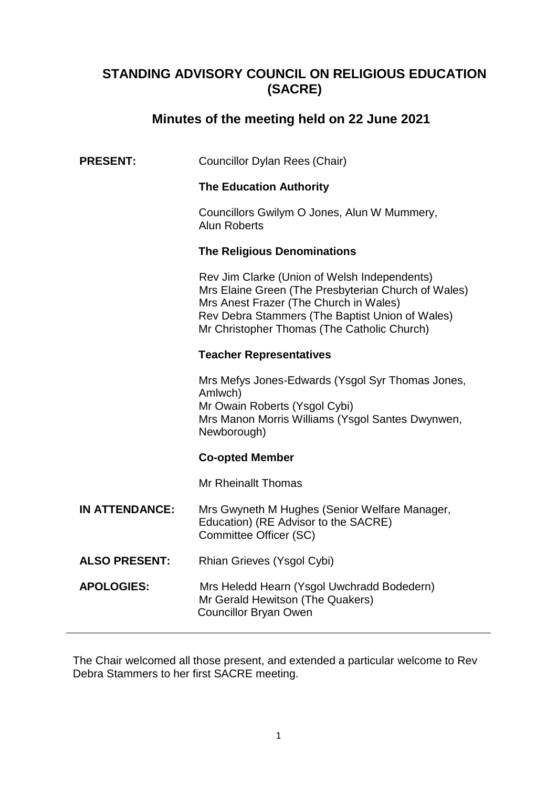# **STANDING ADVISORY COUNCIL ON RELIGIOUS EDUCATION (SACRE)**

# **Minutes of the meeting held on 22 June 2021**

| <b>PRESENT:</b><br>Councillor Dylan Rees (Chair) |
|--------------------------------------------------|
|--------------------------------------------------|

#### **The Education Authority**

Councillors Gwilym O Jones, Alun W Mummery, Alun Roberts

#### **The Religious Denominations**

 Rev Jim Clarke (Union of Welsh Independents) Mrs Elaine Green (The Presbyterian Church of Wales) Mrs Anest Frazer (The Church in Wales) Rev Debra Stammers (The Baptist Union of Wales) Mr Christopher Thomas (The Catholic Church)

#### **Teacher Representatives**

Mrs Mefys Jones-Edwards (Ysgol Syr Thomas Jones, Amlwch) Mr Owain Roberts (Ysgol Cybi) Mrs Manon Morris Williams (Ysgol Santes Dwynwen, Newborough)

## **Co-opted Member**

Mr Rheinallt Thomas

- **IN ATTENDANCE:** Mrs Gwyneth M Hughes (Senior Welfare Manager, Education) (RE Advisor to the SACRE) Committee Officer (SC)
- **ALSO PRESENT:** Rhian Grieves (Ysgol Cybi)
- **APOLOGIES:** Mrs Heledd Hearn (Ysgol Uwchradd Bodedern) Mr Gerald Hewitson (The Quakers) Councillor Bryan Owen

The Chair welcomed all those present, and extended a particular welcome to Rev Debra Stammers to her first SACRE meeting.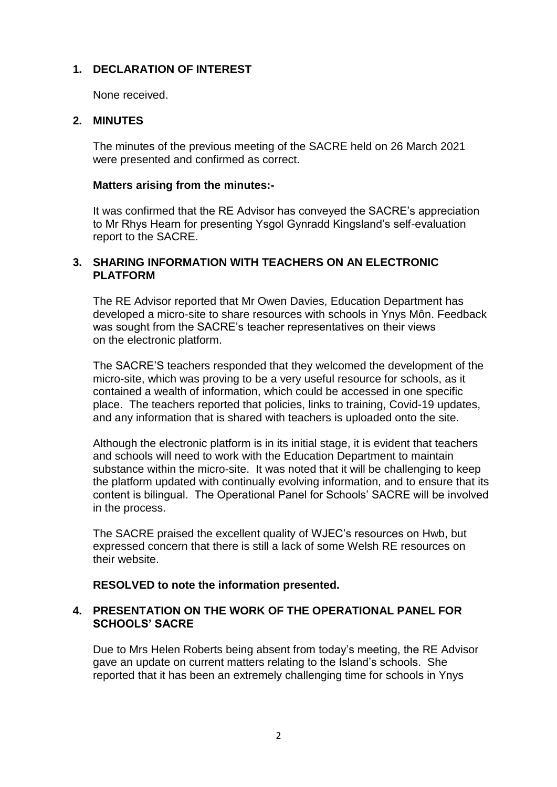# **1. DECLARATION OF INTEREST**

None received.

# **2. MINUTES**

The minutes of the previous meeting of the SACRE held on 26 March 2021 were presented and confirmed as correct.

#### **Matters arising from the minutes:-**

It was confirmed that the RE Advisor has conveyed the SACRE's appreciation to Mr Rhys Hearn for presenting Ysgol Gynradd Kingsland's self-evaluation report to the SACRE.

# **3. SHARING INFORMATION WITH TEACHERS ON AN ELECTRONIC PLATFORM**

The RE Advisor reported that Mr Owen Davies, Education Department has developed a micro-site to share resources with schools in Ynys Môn. Feedback was sought from the SACRE's teacher representatives on their views on the electronic platform.

The SACRE'S teachers responded that they welcomed the development of the micro-site, which was proving to be a very useful resource for schools, as it contained a wealth of information, which could be accessed in one specific place. The teachers reported that policies, links to training, Covid-19 updates, and any information that is shared with teachers is uploaded onto the site.

Although the electronic platform is in its initial stage, it is evident that teachers and schools will need to work with the Education Department to maintain substance within the micro-site. It was noted that it will be challenging to keep the platform updated with continually evolving information, and to ensure that its content is bilingual. The Operational Panel for Schools' SACRE will be involved in the process.

The SACRE praised the excellent quality of WJEC's resources on Hwb, but expressed concern that there is still a lack of some Welsh RE resources on their website.

## **RESOLVED to note the information presented.**

## **4. PRESENTATION ON THE WORK OF THE OPERATIONAL PANEL FOR SCHOOLS' SACRE**

Due to Mrs Helen Roberts being absent from today's meeting, the RE Advisor gave an update on current matters relating to the Island's schools. She reported that it has been an extremely challenging time for schools in Ynys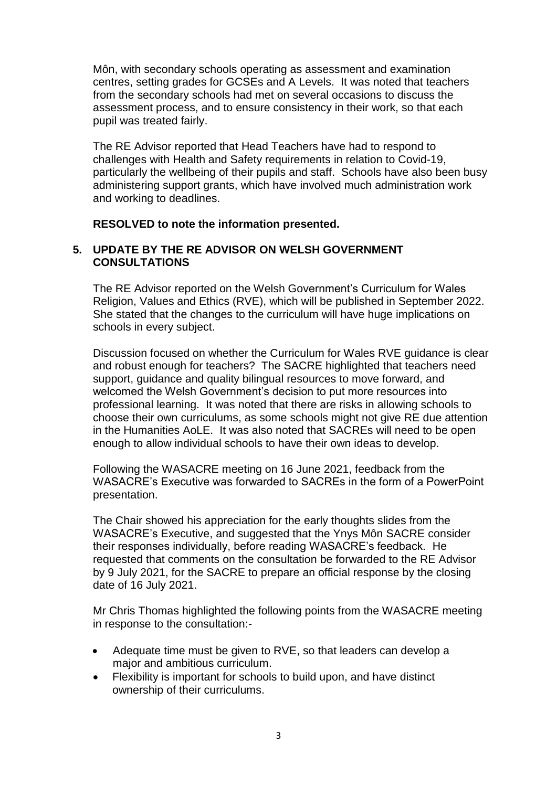Môn, with secondary schools operating as assessment and examination centres, setting grades for GCSEs and A Levels. It was noted that teachers from the secondary schools had met on several occasions to discuss the assessment process, and to ensure consistency in their work, so that each pupil was treated fairly.

The RE Advisor reported that Head Teachers have had to respond to challenges with Health and Safety requirements in relation to Covid-19, particularly the wellbeing of their pupils and staff. Schools have also been busy administering support grants, which have involved much administration work and working to deadlines.

## **RESOLVED to note the information presented.**

#### **5. UPDATE BY THE RE ADVISOR ON WELSH GOVERNMENT CONSULTATIONS**

The RE Advisor reported on the Welsh Government's Curriculum for Wales Religion, Values and Ethics (RVE), which will be published in September 2022. She stated that the changes to the curriculum will have huge implications on schools in every subject.

Discussion focused on whether the Curriculum for Wales RVE guidance is clear and robust enough for teachers? The SACRE highlighted that teachers need support, guidance and quality bilingual resources to move forward, and welcomed the Welsh Government's decision to put more resources into professional learning. It was noted that there are risks in allowing schools to choose their own curriculums, as some schools might not give RE due attention in the Humanities AoLE. It was also noted that SACREs will need to be open enough to allow individual schools to have their own ideas to develop.

Following the WASACRE meeting on 16 June 2021, feedback from the WASACRE's Executive was forwarded to SACREs in the form of a PowerPoint presentation.

The Chair showed his appreciation for the early thoughts slides from the WASACRE's Executive, and suggested that the Ynys Môn SACRE consider their responses individually, before reading WASACRE's feedback. He requested that comments on the consultation be forwarded to the RE Advisor by 9 July 2021, for the SACRE to prepare an official response by the closing date of 16 July 2021.

Mr Chris Thomas highlighted the following points from the WASACRE meeting in response to the consultation:-

- Adequate time must be given to RVE, so that leaders can develop a major and ambitious curriculum.
- Flexibility is important for schools to build upon, and have distinct ownership of their curriculums.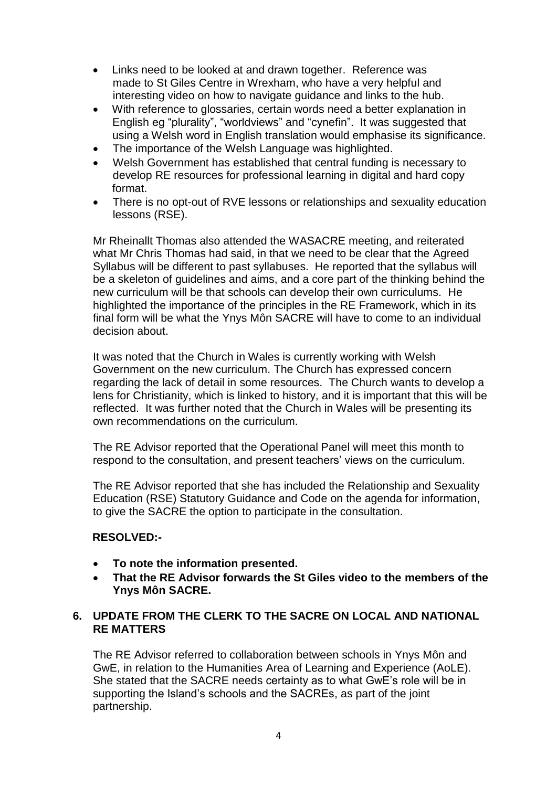- Links need to be looked at and drawn together. Reference was made to St Giles Centre in Wrexham, who have a very helpful and interesting video on how to navigate guidance and links to the hub.
- With reference to glossaries, certain words need a better explanation in English eg "plurality", "worldviews" and "cynefin". It was suggested that using a Welsh word in English translation would emphasise its significance.
- The importance of the Welsh Language was highlighted.
- Welsh Government has established that central funding is necessary to develop RE resources for professional learning in digital and hard copy format.
- There is no opt-out of RVE lessons or relationships and sexuality education lessons (RSE).

Mr Rheinallt Thomas also attended the WASACRE meeting, and reiterated what Mr Chris Thomas had said, in that we need to be clear that the Agreed Syllabus will be different to past syllabuses. He reported that the syllabus will be a skeleton of guidelines and aims, and a core part of the thinking behind the new curriculum will be that schools can develop their own curriculums. He highlighted the importance of the principles in the RE Framework, which in its final form will be what the Ynys Môn SACRE will have to come to an individual decision about.

It was noted that the Church in Wales is currently working with Welsh Government on the new curriculum. The Church has expressed concern regarding the lack of detail in some resources. The Church wants to develop a lens for Christianity, which is linked to history, and it is important that this will be reflected. It was further noted that the Church in Wales will be presenting its own recommendations on the curriculum.

The RE Advisor reported that the Operational Panel will meet this month to respond to the consultation, and present teachers' views on the curriculum.

The RE Advisor reported that she has included the Relationship and Sexuality Education (RSE) Statutory Guidance and Code on the agenda for information, to give the SACRE the option to participate in the consultation.

## **RESOLVED:-**

- **To note the information presented.**
- **That the RE Advisor forwards the St Giles video to the members of the Ynys Môn SACRE.**

## **6. UPDATE FROM THE CLERK TO THE SACRE ON LOCAL AND NATIONAL RE MATTERS**

The RE Advisor referred to collaboration between schools in Ynys Môn and GwE, in relation to the Humanities Area of Learning and Experience (AoLE). She stated that the SACRE needs certainty as to what GwE's role will be in supporting the Island's schools and the SACREs, as part of the joint partnership.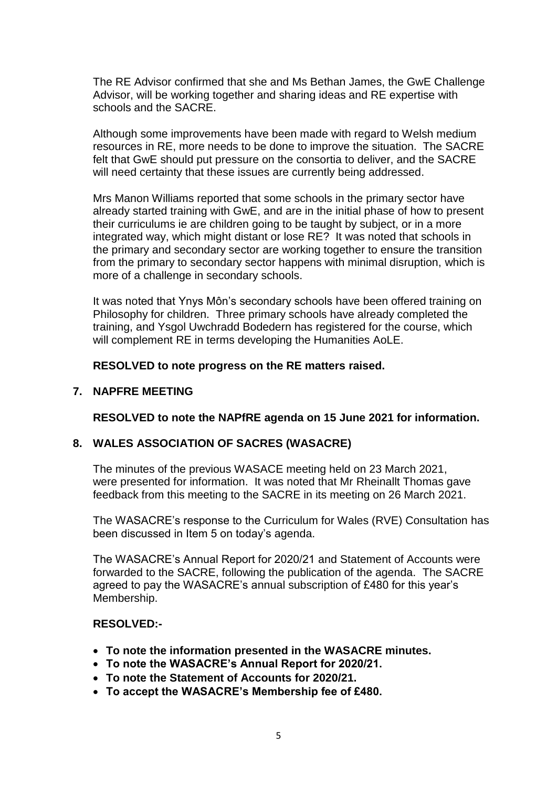The RE Advisor confirmed that she and Ms Bethan James, the GwE Challenge Advisor, will be working together and sharing ideas and RE expertise with schools and the SACRE.

Although some improvements have been made with regard to Welsh medium resources in RE, more needs to be done to improve the situation. The SACRE felt that GwE should put pressure on the consortia to deliver, and the SACRE will need certainty that these issues are currently being addressed.

Mrs Manon Williams reported that some schools in the primary sector have already started training with GwE, and are in the initial phase of how to present their curriculums ie are children going to be taught by subject, or in a more integrated way, which might distant or lose RE? It was noted that schools in the primary and secondary sector are working together to ensure the transition from the primary to secondary sector happens with minimal disruption, which is more of a challenge in secondary schools.

It was noted that Ynys Môn's secondary schools have been offered training on Philosophy for children. Three primary schools have already completed the training, and Ysgol Uwchradd Bodedern has registered for the course, which will complement RE in terms developing the Humanities AoLE.

**RESOLVED to note progress on the RE matters raised.**

## **7. NAPFRE MEETING**

**RESOLVED to note the NAPfRE agenda on 15 June 2021 for information.**

## **8. WALES ASSOCIATION OF SACRES (WASACRE)**

The minutes of the previous WASACE meeting held on 23 March 2021, were presented for information. It was noted that Mr Rheinallt Thomas gave feedback from this meeting to the SACRE in its meeting on 26 March 2021.

The WASACRE's response to the Curriculum for Wales (RVE) Consultation has been discussed in Item 5 on today's agenda.

The WASACRE's Annual Report for 2020/21 and Statement of Accounts were forwarded to the SACRE, following the publication of the agenda. The SACRE agreed to pay the WASACRE's annual subscription of £480 for this year's Membership.

## **RESOLVED:-**

- **To note the information presented in the WASACRE minutes.**
- **To note the WASACRE's Annual Report for 2020/21.**
- **To note the Statement of Accounts for 2020/21.**
- **To accept the WASACRE's Membership fee of £480.**